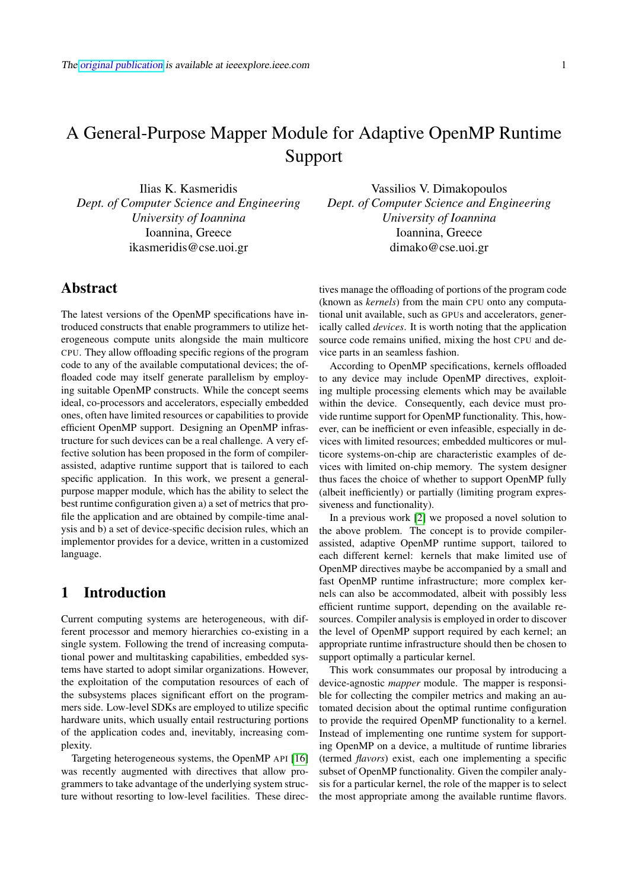# A General-Purpose Mapper Module for Adaptive OpenMP Runtime Support

Ilias K. Kasmeridis *Dept. of Computer Science and Engineering University of Ioannina* Ioannina, Greece ikasmeridis@cse.uoi.gr

### Abstract

The latest versions of the OpenMP specifications have introduced constructs that enable programmers to utilize heterogeneous compute units alongside the main multicore CPU. They allow offloading specific regions of the program code to any of the available computational devices; the offloaded code may itself generate parallelism by employing suitable OpenMP constructs. While the concept seems ideal, co-processors and accelerators, especially embedded ones, often have limited resources or capabilities to provide efficient OpenMP support. Designing an OpenMP infrastructure for such devices can be a real challenge. A very effective solution has been proposed in the form of compilerassisted, adaptive runtime support that is tailored to each specific application. In this work, we present a generalpurpose mapper module, which has the ability to select the best runtime configuration given a) a set of metrics that profile the application and are obtained by compile-time analysis and b) a set of device-specific decision rules, which an implementor provides for a device, written in a customized language.

# 1 Introduction

Current computing systems are heterogeneous, with different processor and memory hierarchies co-existing in a single system. Following the trend of increasing computational power and multitasking capabilities, embedded systems have started to adopt similar organizations. However, the exploitation of the computation resources of each of the subsystems places significant effort on the programmers side. Low-level SDKs are employed to utilize specific hardware units, which usually entail restructuring portions of the application codes and, inevitably, increasing complexity.

Targeting heterogeneous systems, the OpenMP API [\[16\]](#page-6-0) was recently augmented with directives that allow programmers to take advantage of the underlying system structure without resorting to low-level facilities. These direc-

Vassilios V. Dimakopoulos *Dept. of Computer Science and Engineering University of Ioannina* Ioannina, Greece dimako@cse.uoi.gr

tives manage the offloading of portions of the program code (known as *kernels*) from the main CPU onto any computational unit available, such as GPUs and accelerators, generically called *devices*. It is worth noting that the application source code remains unified, mixing the host CPU and device parts in an seamless fashion.

According to OpenMP specifications, kernels offloaded to any device may include OpenMP directives, exploiting multiple processing elements which may be available within the device. Consequently, each device must provide runtime support for OpenMP functionality. This, however, can be inefficient or even infeasible, especially in devices with limited resources; embedded multicores or multicore systems-on-chip are characteristic examples of devices with limited on-chip memory. The system designer thus faces the choice of whether to support OpenMP fully (albeit inefficiently) or partially (limiting program expressiveness and functionality).

In a previous work [\[2\]](#page-5-0) we proposed a novel solution to the above problem. The concept is to provide compilerassisted, adaptive OpenMP runtime support, tailored to each different kernel: kernels that make limited use of OpenMP directives maybe be accompanied by a small and fast OpenMP runtime infrastructure; more complex kernels can also be accommodated, albeit with possibly less efficient runtime support, depending on the available resources. Compiler analysis is employed in order to discover the level of OpenMP support required by each kernel; an appropriate runtime infrastructure should then be chosen to support optimally a particular kernel.

This work consummates our proposal by introducing a device-agnostic *mapper* module. The mapper is responsible for collecting the compiler metrics and making an automated decision about the optimal runtime configuration to provide the required OpenMP functionality to a kernel. Instead of implementing one runtime system for supporting OpenMP on a device, a multitude of runtime libraries (termed *flavors*) exist, each one implementing a specific subset of OpenMP functionality. Given the compiler analysis for a particular kernel, the role of the mapper is to select the most appropriate among the available runtime flavors.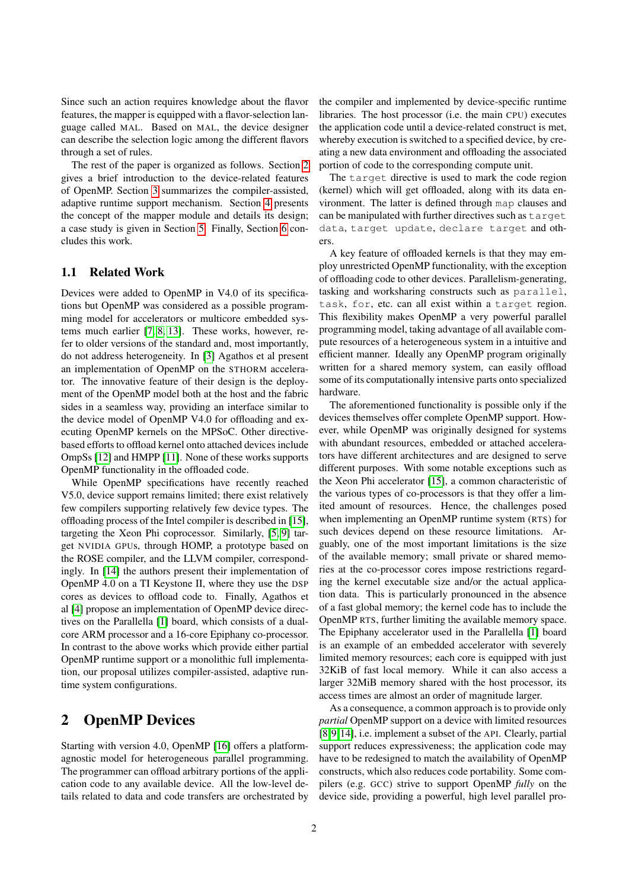Since such an action requires knowledge about the flavor features, the mapper is equipped with a flavor-selection language called MAL. Based on MAL, the device designer can describe the selection logic among the different flavors through a set of rules.

The rest of the paper is organized as follows. Section [2](#page-1-0) gives a brief introduction to the device-related features of OpenMP. Section [3](#page-2-0) summarizes the compiler-assisted, adaptive runtime support mechanism. Section [4](#page-3-0) presents the concept of the mapper module and details its design; a case study is given in Section [5.](#page-5-1) Finally, Section [6](#page-5-2) concludes this work.

#### 1.1 Related Work

Devices were added to OpenMP in V4.0 of its specifications but OpenMP was considered as a possible programming model for accelerators or multicore embedded systems much earlier [\[7,](#page-6-1) [8,](#page-6-2) [13\]](#page-6-3). These works, however, refer to older versions of the standard and, most importantly, do not address heterogeneity. In [\[3\]](#page-5-3) Agathos et al present an implementation of OpenMP on the STHORM accelerator. The innovative feature of their design is the deployment of the OpenMP model both at the host and the fabric sides in a seamless way, providing an interface similar to the device model of OpenMP V4.0 for offloading and executing OpenMP kernels on the MPSoC. Other directivebased efforts to offload kernel onto attached devices include OmpSs [\[12\]](#page-6-4) and HMPP [\[11\]](#page-6-5). None of these works supports OpenMP functionality in the offloaded code.

While OpenMP specifications have recently reached V5.0, device support remains limited; there exist relatively few compilers supporting relatively few device types. The offloading process of the Intel compiler is described in [\[15\]](#page-6-6), targeting the Xeon Phi coprocessor. Similarly, [\[5,](#page-6-7) [9\]](#page-6-8) target NVIDIA GPUs, through HOMP, a prototype based on the ROSE compiler, and the LLVM compiler, correspondingly. In [\[14\]](#page-6-9) the authors present their implementation of OpenMP 4.0 on a TI Keystone II, where they use the DSP cores as devices to offload code to. Finally, Agathos et al [\[4\]](#page-6-10) propose an implementation of OpenMP device directives on the Parallella [\[1\]](#page-5-4) board, which consists of a dualcore ARM processor and a 16-core Epiphany co-processor. In contrast to the above works which provide either partial OpenMP runtime support or a monolithic full implementation, our proposal utilizes compiler-assisted, adaptive runtime system configurations.

# <span id="page-1-0"></span>2 OpenMP Devices

Starting with version 4.0, OpenMP [\[16\]](#page-6-0) offers a platformagnostic model for heterogeneous parallel programming. The programmer can offload arbitrary portions of the application code to any available device. All the low-level details related to data and code transfers are orchestrated by the compiler and implemented by device-specific runtime libraries. The host processor (i.e. the main CPU) executes the application code until a device-related construct is met, whereby execution is switched to a specified device, by creating a new data environment and offloading the associated portion of code to the corresponding compute unit.

The target directive is used to mark the code region (kernel) which will get offloaded, along with its data environment. The latter is defined through map clauses and can be manipulated with further directives such as target data, target update, declare target and others.

A key feature of offloaded kernels is that they may employ unrestricted OpenMP functionality, with the exception of offloading code to other devices. Parallelism-generating, tasking and worksharing constructs such as parallel, task, for, etc. can all exist within a target region. This flexibility makes OpenMP a very powerful parallel programming model, taking advantage of all available compute resources of a heterogeneous system in a intuitive and efficient manner. Ideally any OpenMP program originally written for a shared memory system, can easily offload some of its computationally intensive parts onto specialized hardware.

The aforementioned functionality is possible only if the devices themselves offer complete OpenMP support. However, while OpenMP was originally designed for systems with abundant resources, embedded or attached accelerators have different architectures and are designed to serve different purposes. With some notable exceptions such as the Xeon Phi accelerator [\[15\]](#page-6-6), a common characteristic of the various types of co-processors is that they offer a limited amount of resources. Hence, the challenges posed when implementing an OpenMP runtime system (RTS) for such devices depend on these resource limitations. Arguably, one of the most important limitations is the size of the available memory; small private or shared memories at the co-processor cores impose restrictions regarding the kernel executable size and/or the actual application data. This is particularly pronounced in the absence of a fast global memory; the kernel code has to include the OpenMP RTS, further limiting the available memory space. The Epiphany accelerator used in the Parallella [\[1\]](#page-5-4) board is an example of an embedded accelerator with severely limited memory resources; each core is equipped with just 32KiB of fast local memory. While it can also access a larger 32MiB memory shared with the host processor, its access times are almost an order of magnitude larger.

As a consequence, a common approach is to provide only *partial* OpenMP support on a device with limited resources [\[8,](#page-6-2)[9,](#page-6-8)[14\]](#page-6-9), i.e. implement a subset of the API. Clearly, partial support reduces expressiveness; the application code may have to be redesigned to match the availability of OpenMP constructs, which also reduces code portability. Some compilers (e.g. GCC) strive to support OpenMP *fully* on the device side, providing a powerful, high level parallel pro-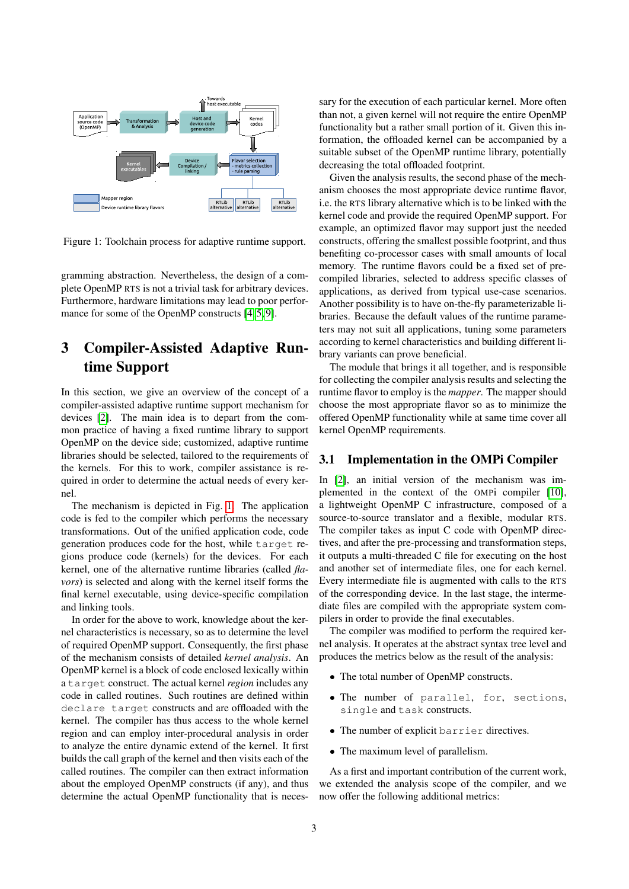

<span id="page-2-1"></span>Figure 1: Toolchain process for adaptive runtime support.

gramming abstraction. Nevertheless, the design of a complete OpenMP RTS is not a trivial task for arbitrary devices. Furthermore, hardware limitations may lead to poor perfor-mance for some of the OpenMP constructs [\[4,](#page-6-10) [5,](#page-6-7) [9\]](#page-6-8).

# <span id="page-2-0"></span>3 Compiler-Assisted Adaptive Runtime Support

In this section, we give an overview of the concept of a compiler-assisted adaptive runtime support mechanism for devices [\[2\]](#page-5-0). The main idea is to depart from the common practice of having a fixed runtime library to support OpenMP on the device side; customized, adaptive runtime libraries should be selected, tailored to the requirements of the kernels. For this to work, compiler assistance is required in order to determine the actual needs of every kernel.

The mechanism is depicted in Fig. [1.](#page-2-1) The application code is fed to the compiler which performs the necessary transformations. Out of the unified application code, code generation produces code for the host, while target regions produce code (kernels) for the devices. For each kernel, one of the alternative runtime libraries (called *flavors*) is selected and along with the kernel itself forms the final kernel executable, using device-specific compilation and linking tools.

In order for the above to work, knowledge about the kernel characteristics is necessary, so as to determine the level of required OpenMP support. Consequently, the first phase of the mechanism consists of detailed *kernel analysis*. An OpenMP kernel is a block of code enclosed lexically within a target construct. The actual kernel *region* includes any code in called routines. Such routines are defined within declare target constructs and are offloaded with the kernel. The compiler has thus access to the whole kernel region and can employ inter-procedural analysis in order to analyze the entire dynamic extend of the kernel. It first builds the call graph of the kernel and then visits each of the called routines. The compiler can then extract information about the employed OpenMP constructs (if any), and thus determine the actual OpenMP functionality that is necessary for the execution of each particular kernel. More often than not, a given kernel will not require the entire OpenMP functionality but a rather small portion of it. Given this information, the offloaded kernel can be accompanied by a suitable subset of the OpenMP runtime library, potentially decreasing the total offloaded footprint.

Given the analysis results, the second phase of the mechanism chooses the most appropriate device runtime flavor, i.e. the RTS library alternative which is to be linked with the kernel code and provide the required OpenMP support. For example, an optimized flavor may support just the needed constructs, offering the smallest possible footprint, and thus benefiting co-processor cases with small amounts of local memory. The runtime flavors could be a fixed set of precompiled libraries, selected to address specific classes of applications, as derived from typical use-case scenarios. Another possibility is to have on-the-fly parameterizable libraries. Because the default values of the runtime parameters may not suit all applications, tuning some parameters according to kernel characteristics and building different library variants can prove beneficial.

The module that brings it all together, and is responsible for collecting the compiler analysis results and selecting the runtime flavor to employ is the *mapper*. The mapper should choose the most appropriate flavor so as to minimize the offered OpenMP functionality while at same time cover all kernel OpenMP requirements.

#### 3.1 Implementation in the OMPi Compiler

In [\[2\]](#page-5-0), an initial version of the mechanism was implemented in the context of the OMPi compiler [\[10\]](#page-6-11), a lightweight OpenMP C infrastructure, composed of a source-to-source translator and a flexible, modular RTS. The compiler takes as input C code with OpenMP directives, and after the pre-processing and transformation steps, it outputs a multi-threaded C file for executing on the host and another set of intermediate files, one for each kernel. Every intermediate file is augmented with calls to the RTS of the corresponding device. In the last stage, the intermediate files are compiled with the appropriate system compilers in order to provide the final executables.

The compiler was modified to perform the required kernel analysis. It operates at the abstract syntax tree level and produces the metrics below as the result of the analysis:

- The total number of OpenMP constructs.
- The number of parallel, for, sections, single and task constructs.
- The number of explicit barrier directives.
- The maximum level of parallelism.

As a first and important contribution of the current work, we extended the analysis scope of the compiler, and we now offer the following additional metrics: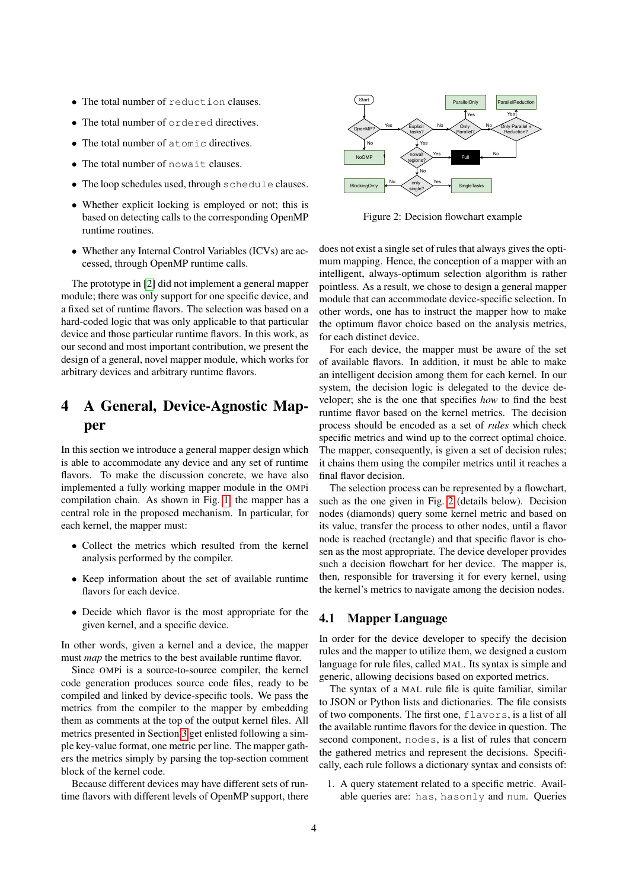- The total number of reduction clauses.
- The total number of ordered directives.
- The total number of atomic directives.
- The total number of nowait clauses.
- The loop schedules used, through schedule clauses.
- Whether explicit locking is employed or not; this is based on detecting calls to the corresponding OpenMP runtime routines.
- Whether any Internal Control Variables (ICVs) are accessed, through OpenMP runtime calls.

The prototype in [\[2\]](#page-5-0) did not implement a general mapper module; there was only support for one specific device, and a fixed set of runtime flavors. The selection was based on a hard-coded logic that was only applicable to that particular device and those particular runtime flavors. In this work, as our second and most important contribution, we present the design of a general, novel mapper module, which works for arbitrary devices and arbitrary runtime flavors.

# <span id="page-3-0"></span>4 A General, Device-Agnostic Mapper

In this section we introduce a general mapper design which is able to accommodate any device and any set of runtime flavors. To make the discussion concrete, we have also implemented a fully working mapper module in the OMPi compilation chain. As shown in Fig. [1,](#page-2-1) the mapper has a central role in the proposed mechanism. In particular, for each kernel, the mapper must:

- Collect the metrics which resulted from the kernel analysis performed by the compiler.
- Keep information about the set of available runtime flavors for each device.
- Decide which flavor is the most appropriate for the given kernel, and a specific device.

In other words, given a kernel and a device, the mapper must *map* the metrics to the best available runtime flavor.

Since OMPi is a source-to-source compiler, the kernel code generation produces source code files, ready to be compiled and linked by device-specific tools. We pass the metrics from the compiler to the mapper by embedding them as comments at the top of the output kernel files. All metrics presented in Section [3](#page-2-0) get enlisted following a simple key-value format, one metric per line. The mapper gathers the metrics simply by parsing the top-section comment block of the kernel code.

Because different devices may have different sets of runtime flavors with different levels of OpenMP support, there



<span id="page-3-1"></span>Figure 2: Decision flowchart example

does not exist a single set of rules that always gives the optimum mapping. Hence, the conception of a mapper with an intelligent, always-optimum selection algorithm is rather pointless. As a result, we chose to design a general mapper module that can accommodate device-specific selection. In other words, one has to instruct the mapper how to make the optimum flavor choice based on the analysis metrics, for each distinct device.

For each device, the mapper must be aware of the set of available flavors. In addition, it must be able to make an intelligent decision among them for each kernel. In our system, the decision logic is delegated to the device developer; she is the one that specifies *how* to find the best runtime flavor based on the kernel metrics. The decision process should be encoded as a set of *rules* which check specific metrics and wind up to the correct optimal choice. The mapper, consequently, is given a set of decision rules; it chains them using the compiler metrics until it reaches a final flavor decision.

The selection process can be represented by a flowchart, such as the one given in Fig. [2](#page-3-1) (details below). Decision nodes (diamonds) query some kernel metric and based on its value, transfer the process to other nodes, until a flavor node is reached (rectangle) and that specific flavor is chosen as the most appropriate. The device developer provides such a decision flowchart for her device. The mapper is, then, responsible for traversing it for every kernel, using the kernel's metrics to navigate among the decision nodes.

#### 4.1 Mapper Language

In order for the device developer to specify the decision rules and the mapper to utilize them, we designed a custom language for rule files, called MAL. Its syntax is simple and generic, allowing decisions based on exported metrics.

The syntax of a MAL rule file is quite familiar, similar to JSON or Python lists and dictionaries. The file consists of two components. The first one, flavors, is a list of all the available runtime flavors for the device in question. The second component, nodes, is a list of rules that concern the gathered metrics and represent the decisions. Specifically, each rule follows a dictionary syntax and consists of:

1. A query statement related to a specific metric. Available queries are: has, hasonly and num. Queries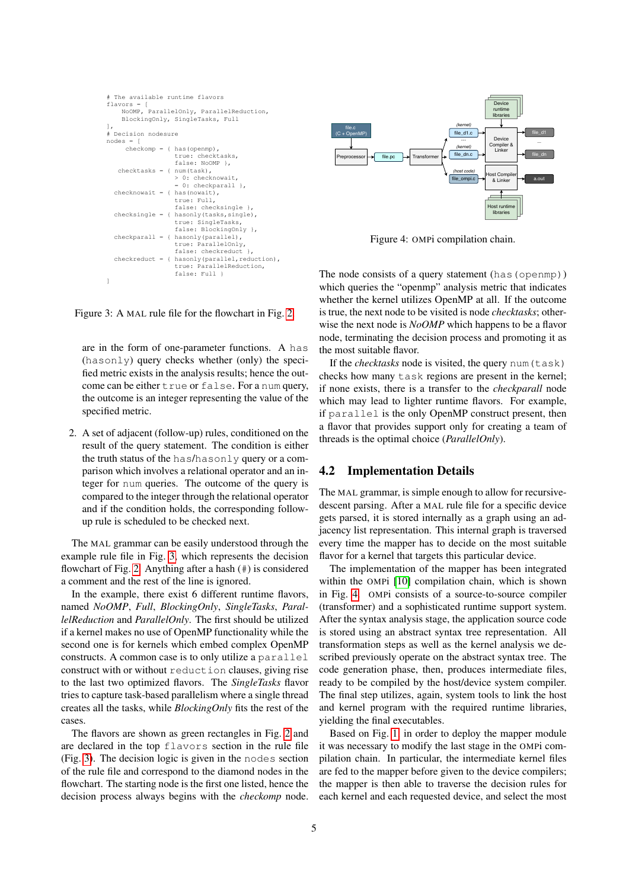```
# The available runtime flavors
flavors = [
    NoOMP, ParallelOnly, ParallelReduction,
    BlockingOnly, SingleTasks, Full
],
# Decision nodesure
nodes = [
     checkomp = { has (openmp),}true: checktasks,
                   false: NoOMP },
  checkasks = { num(task),}> 0: checknowait,
                   = 0: checkparall },
 checkr \frac{1}{10} checknowait = { has (nowait),
                   true: Full,
                   false: checksingle },
 checksingle = { hasonly(tasks,single),
                   true: SingleTasks,
                   false: BlockingOnly },
 checkparall = { hasonly(parallel),
                   true: ParallelOnly,
                   false: checkreduct
 checkeduct = { has only (parallel, reduction)}true: ParallelReduction,
                   false: Full }
]
```
<span id="page-4-0"></span>Figure 3: A MAL rule file for the flowchart in Fig. [2.](#page-3-1)

are in the form of one-parameter functions. A has (hasonly) query checks whether (only) the specified metric exists in the analysis results; hence the outcome can be either true or false. For a num query, the outcome is an integer representing the value of the specified metric.

2. A set of adjacent (follow-up) rules, conditioned on the result of the query statement. The condition is either the truth status of the has/hasonly query or a comparison which involves a relational operator and an integer for num queries. The outcome of the query is compared to the integer through the relational operator and if the condition holds, the corresponding followup rule is scheduled to be checked next.

The MAL grammar can be easily understood through the example rule file in Fig. [3,](#page-4-0) which represents the decision flowchart of Fig. [2.](#page-3-1) Anything after a hash (#) is considered a comment and the rest of the line is ignored.

In the example, there exist 6 different runtime flavors, named *NoOMP*, *Full*, *BlockingOnly*, *SingleTasks*, *ParallelReduction* and *ParallelOnly*. The first should be utilized if a kernel makes no use of OpenMP functionality while the second one is for kernels which embed complex OpenMP constructs. A common case is to only utilize a parallel construct with or without reduction clauses, giving rise to the last two optimized flavors. The *SingleTasks* flavor tries to capture task-based parallelism where a single thread creates all the tasks, while *BlockingOnly* fits the rest of the cases.

The flavors are shown as green rectangles in Fig. [2](#page-3-1) and are declared in the top flavors section in the rule file (Fig. [3\)](#page-4-0). The decision logic is given in the nodes section of the rule file and correspond to the diamond nodes in the flowchart. The starting node is the first one listed, hence the decision process always begins with the *checkomp* node.



<span id="page-4-1"></span>Figure 4: OMPi compilation chain.

The node consists of a query statement (has (openmp)) which queries the "openmp" analysis metric that indicates whether the kernel utilizes OpenMP at all. If the outcome is true, the next node to be visited is node *checktasks*; otherwise the next node is *NoOMP* which happens to be a flavor node, terminating the decision process and promoting it as the most suitable flavor.

If the *checktasks* node is visited, the query num (task) checks how many task regions are present in the kernel; if none exists, there is a transfer to the *checkparall* node which may lead to lighter runtime flavors. For example, if parallel is the only OpenMP construct present, then a flavor that provides support only for creating a team of threads is the optimal choice (*ParallelOnly*).

#### 4.2 Implementation Details

The MAL grammar, is simple enough to allow for recursivedescent parsing. After a MAL rule file for a specific device gets parsed, it is stored internally as a graph using an adjacency list representation. This internal graph is traversed every time the mapper has to decide on the most suitable flavor for a kernel that targets this particular device.

The implementation of the mapper has been integrated within the OMPi [\[10\]](#page-6-11) compilation chain, which is shown in Fig. [4.](#page-4-1) OMPi consists of a source-to-source compiler (transformer) and a sophisticated runtime support system. After the syntax analysis stage, the application source code is stored using an abstract syntax tree representation. All transformation steps as well as the kernel analysis we described previously operate on the abstract syntax tree. The code generation phase, then, produces intermediate files, ready to be compiled by the host/device system compiler. The final step utilizes, again, system tools to link the host and kernel program with the required runtime libraries, yielding the final executables.

Based on Fig. [1,](#page-2-1) in order to deploy the mapper module it was necessary to modify the last stage in the OMPi compilation chain. In particular, the intermediate kernel files are fed to the mapper before given to the device compilers; the mapper is then able to traverse the decision rules for each kernel and each requested device, and select the most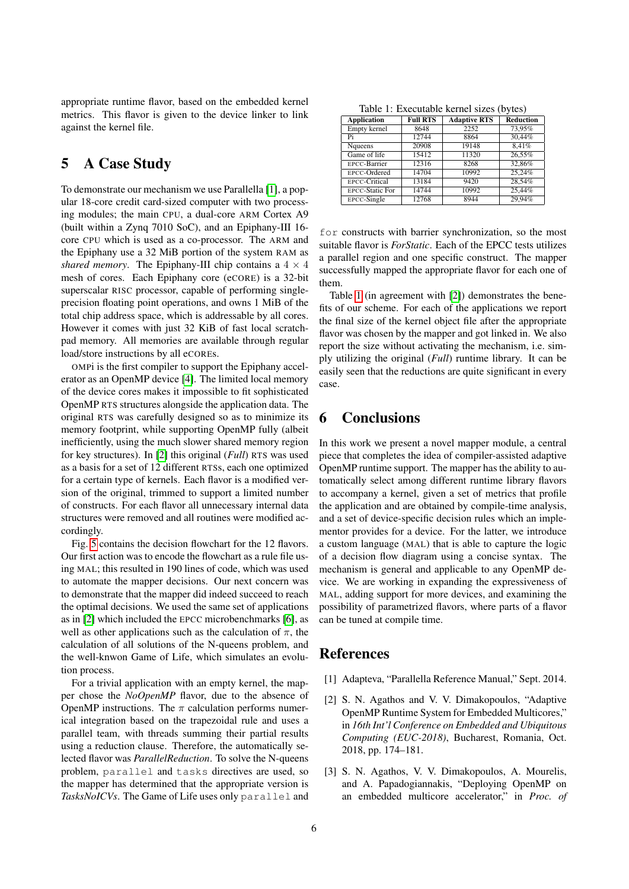appropriate runtime flavor, based on the embedded kernel metrics. This flavor is given to the device linker to link against the kernel file.

# <span id="page-5-1"></span>5 A Case Study

To demonstrate our mechanism we use Parallella [\[1\]](#page-5-4), a popular 18-core credit card-sized computer with two processing modules; the main CPU, a dual-core ARM Cortex A9 (built within a Zynq 7010 SoC), and an Epiphany-III 16 core CPU which is used as a co-processor. The ARM and the Epiphany use a 32 MiB portion of the system RAM as *shared memory*. The Epiphany-III chip contains a  $4 \times 4$ mesh of cores. Each Epiphany core (eCORE) is a 32-bit superscalar RISC processor, capable of performing singleprecision floating point operations, and owns 1 MiB of the total chip address space, which is addressable by all cores. However it comes with just 32 KiB of fast local scratchpad memory. All memories are available through regular load/store instructions by all eCOREs.

OMPi is the first compiler to support the Epiphany accelerator as an OpenMP device [\[4\]](#page-6-10). The limited local memory of the device cores makes it impossible to fit sophisticated OpenMP RTS structures alongside the application data. The original RTS was carefully designed so as to minimize its memory footprint, while supporting OpenMP fully (albeit inefficiently, using the much slower shared memory region for key structures). In [\[2\]](#page-5-0) this original (*Full*) RTS was used as a basis for a set of 12 different RTSs, each one optimized for a certain type of kernels. Each flavor is a modified version of the original, trimmed to support a limited number of constructs. For each flavor all unnecessary internal data structures were removed and all routines were modified accordingly.

Fig. [5](#page-6-12) contains the decision flowchart for the 12 flavors. Our first action was to encode the flowchart as a rule file using MAL; this resulted in 190 lines of code, which was used to automate the mapper decisions. Our next concern was to demonstrate that the mapper did indeed succeed to reach the optimal decisions. We used the same set of applications as in [\[2\]](#page-5-0) which included the EPCC microbenchmarks [\[6\]](#page-6-13), as well as other applications such as the calculation of  $\pi$ , the calculation of all solutions of the N-queens problem, and the well-knwon Game of Life, which simulates an evolution process.

For a trivial application with an empty kernel, the mapper chose the *NoOpenMP* flavor, due to the absence of OpenMP instructions. The  $\pi$  calculation performs numerical integration based on the trapezoidal rule and uses a parallel team, with threads summing their partial results using a reduction clause. Therefore, the automatically selected flavor was *ParallelReduction*. To solve the N-queens problem, parallel and tasks directives are used, so the mapper has determined that the appropriate version is *TasksNoICVs*. The Game of Life uses only parallel and

<span id="page-5-5"></span>Table 1: Executable kernel sizes (bytes)

| <b>Application</b>     | <b>Full RTS</b> | <b>Adaptive RTS</b> | <b>Reduction</b> |
|------------------------|-----------------|---------------------|------------------|
| Empty kernel           | 8648            | 2252                | 73.95%           |
| Pi                     | 12744           | 8864                | 30,44%           |
| Nqueens                | 20908           | 19148               | 8.41%            |
| Game of life           | 15412           | 11320               | 26.55%           |
| <b>EPCC-Barrier</b>    | 12316           | 8268                | 32.86%           |
| EPCC-Ordered           | 14704           | 10992               | 25.24%           |
| <b>EPCC-Critical</b>   | 13184           | 9420                | 28.54%           |
| <b>EPCC-Static For</b> | 14744           | 10992               | 25,44%           |
| EPCC-Single            | 12768           | 8944                | 29.94%           |

for constructs with barrier synchronization, so the most suitable flavor is *ForStatic*. Each of the EPCC tests utilizes a parallel region and one specific construct. The mapper successfully mapped the appropriate flavor for each one of them.

Table [1](#page-5-5) (in agreement with [\[2\]](#page-5-0)) demonstrates the benefits of our scheme. For each of the applications we report the final size of the kernel object file after the appropriate flavor was chosen by the mapper and got linked in. We also report the size without activating the mechanism, i.e. simply utilizing the original (*Full*) runtime library. It can be easily seen that the reductions are quite significant in every case.

# <span id="page-5-2"></span>6 Conclusions

In this work we present a novel mapper module, a central piece that completes the idea of compiler-assisted adaptive OpenMP runtime support. The mapper has the ability to automatically select among different runtime library flavors to accompany a kernel, given a set of metrics that profile the application and are obtained by compile-time analysis, and a set of device-specific decision rules which an implementor provides for a device. For the latter, we introduce a custom language (MAL) that is able to capture the logic of a decision flow diagram using a concise syntax. The mechanism is general and applicable to any OpenMP device. We are working in expanding the expressiveness of MAL, adding support for more devices, and examining the possibility of parametrized flavors, where parts of a flavor can be tuned at compile time.

# References

- <span id="page-5-4"></span>[1] Adapteva, "Parallella Reference Manual," Sept. 2014.
- <span id="page-5-0"></span>[2] S. N. Agathos and V. V. Dimakopoulos, "Adaptive OpenMP Runtime System for Embedded Multicores," in *16th Int'l Conference on Embedded and Ubiquitous Computing (EUC-2018)*, Bucharest, Romania, Oct. 2018, pp. 174–181.
- <span id="page-5-3"></span>[3] S. N. Agathos, V. V. Dimakopoulos, A. Mourelis, and A. Papadogiannakis, "Deploying OpenMP on an embedded multicore accelerator," in *Proc. of*